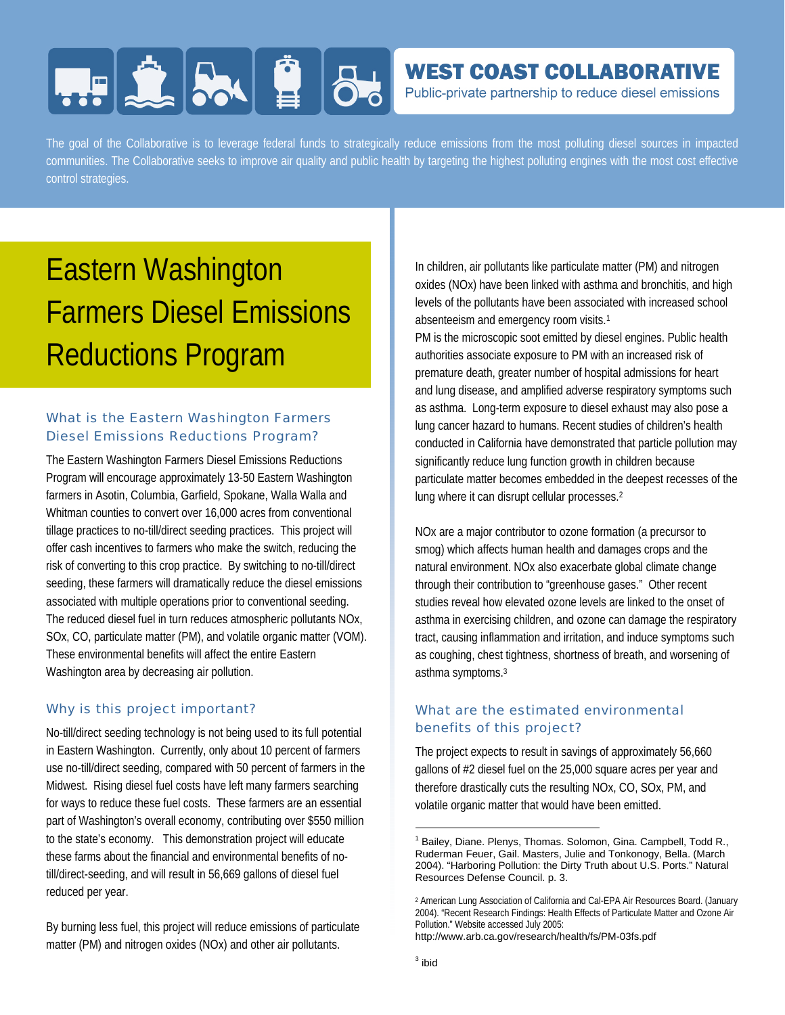# **HERE SAILE 86**

### **WEST COAST COLLABORATIVE**

Public-private partnership to reduce diesel emissions

The goal of the Collaborative is to leverage federal funds to strategically reduce emissions from the most polluting diesel sources in impacted communities. The Collaborative seeks to improve air quality and public health by targeting the highest polluting engines with the most cost effective control strategies.

## Eastern Washington Farmers Diesel Emissions Reductions Program

#### What is the Eastern Washington Farmers Diesel Emissions Reductions Program?

The Eastern Washington Farmers Diesel Emissions Reductions Program will encourage approximately 13-50 Eastern Washington farmers in Asotin, Columbia, Garfield, Spokane, Walla Walla and Whitman counties to convert over 16,000 acres from conventional tillage practices to no-till/direct seeding practices. This project will offer cash incentives to farmers who make the switch, reducing the risk of converting to this crop practice. By switching to no-till/direct seeding, these farmers will dramatically reduce the diesel emissions associated with multiple operations prior to conventional seeding. The reduced diesel fuel in turn reduces atmospheric pollutants NOx, SOx, CO, particulate matter (PM), and volatile organic matter (VOM). These environmental benefits will affect the entire Eastern Washington area by decreasing air pollution.

#### Why is this project important?

No-till/direct seeding technology is not being used to its full potential in Eastern Washington. Currently, only about 10 percent of farmers use no-till/direct seeding, compared with 50 percent of farmers in the Midwest. Rising diesel fuel costs have left many farmers searching for ways to reduce these fuel costs. These farmers are an essential part of Washington's overall economy, contributing over \$550 million to the state's economy. This demonstration project will educate these farms about the financial and environmental benefits of notill/direct-seeding, and will result in 56,669 gallons of diesel fuel reduced per year.

By burning less fuel, this project will reduce emissions of particulate matter (PM) and nitrogen oxides (NOx) and other air pollutants.

In children, air pollutants like particulate matter (PM) and nitrogen oxides (NOx) have been linked with asthma and bronchitis, and high levels of the pollutants have been associated with increased school absenteeism and emergency room visits.1

PM is the microscopic soot emitted by diesel engines. Public health authorities associate exposure to PM with an increased risk of premature death, greater number of hospital admissions for heart and lung disease, and amplified adverse respiratory symptoms such as asthma. Long-term exposure to diesel exhaust may also pose a lung cancer hazard to humans. Recent studies of children's health conducted in California have demonstrated that particle pollution may significantly reduce lung function growth in children because particulate matter becomes embedded in the deepest recesses of the lung where it can disrupt cellular processes.2

NOx are a major contributor to ozone formation (a precursor to smog) which affects human health and damages crops and the natural environment. NOx also exacerbate global climate change through their contribution to "greenhouse gases." Other recent studies reveal how elevated ozone levels are linked to the onset of asthma in exercising children, and ozone can damage the respiratory tract, causing inflammation and irritation, and induce symptoms such as coughing, chest tightness, shortness of breath, and worsening of asthma symptoms.3

#### What are the estimated environmental benefits of this project?

The project expects to result in savings of approximately 56,660 gallons of #2 diesel fuel on the 25,000 square acres per year and therefore drastically cuts the resulting NOx, CO, SOx, PM, and volatile organic matter that would have been emitted.

http://www.arb.ca.gov/research/health/fs/PM-03fs.pdf

-

<sup>1</sup> Bailey, Diane. Plenys, Thomas. Solomon, Gina. Campbell, Todd R., Ruderman Feuer, Gail. Masters, Julie and Tonkonogy, Bella. (March 2004). "Harboring Pollution: the Dirty Truth about U.S. Ports." Natural Resources Defense Council. p. 3.

<sup>2</sup> American Lung Association of California and Cal-EPA Air Resources Board. (January 2004). "Recent Research Findings: Health Effects of Particulate Matter and Ozone Air Pollution." Website accessed July 2005: